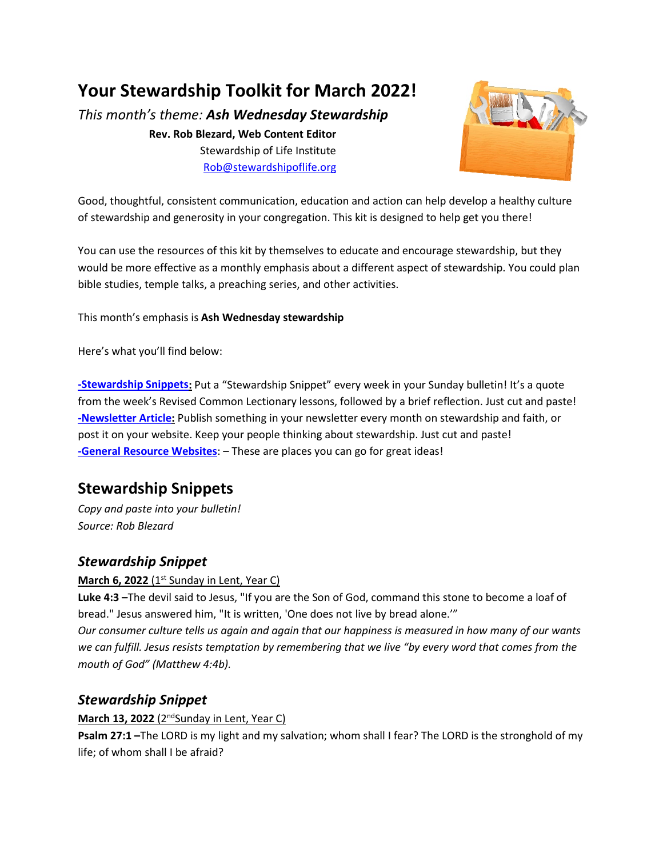## **Your Stewardship Toolkit for March 2022!**

*This month's theme: Ash Wednesday Stewardship*

**Rev. Rob Blezard, Web Content Editor** Stewardship of Life Institute [Rob@stewardshipoflife.org](mailto:Rob@stewardshipoflife.org)



Good, thoughtful, consistent communication, education and action can help develop a healthy culture of stewardship and generosity in your congregation. This kit is designed to help get you there!

You can use the resources of this kit by themselves to educate and encourage stewardship, but they would be more effective as a monthly emphasis about a different aspect of stewardship. You could plan bible studies, temple talks, a preaching series, and other activities.

This month's emphasis is **Ash Wednesday stewardship**

Here's what you'll find below:

**[-Stewardship Snippets:](#page-0-0)** Put a "Stewardship Snippet" every week in your Sunday bulletin! It's a quote from the week's Revised Common Lectionary lessons, followed by a brief reflection. Just cut and paste! **[-Newsletter Article:](#page-1-0)** Publish something in your newsletter every month on stewardship and faith, or post it on your website. Keep your people thinking about stewardship. Just cut and paste! **-General Resource Websites**: – These are places you can go for great ideas!

## <span id="page-0-0"></span>**Stewardship Snippets**

*Copy and paste into your bulletin! Source: Rob Blezard*

## *Stewardship Snippet*

#### **March 6, 2022** (1<sup>st</sup> Sunday in Lent, Year C)

**Luke 4:3 –**The devil said to Jesus, "If you are the Son of God, command this stone to become a loaf of bread." Jesus answered him, "It is written, 'One does not live by bread alone.'"

*Our consumer culture tells us again and again that our happiness is measured in how many of our wants we can fulfill. Jesus resists temptation by remembering that we live "by every word that comes from the mouth of God" (Matthew 4:4b).* 

## *Stewardship Snippet*

#### **March 13, 2022** (2<sup>nd</sup>Sunday in Lent, Year C)

**Psalm 27:1 –**The LORD is my light and my salvation; whom shall I fear? The LORD is the stronghold of my life; of whom shall I be afraid?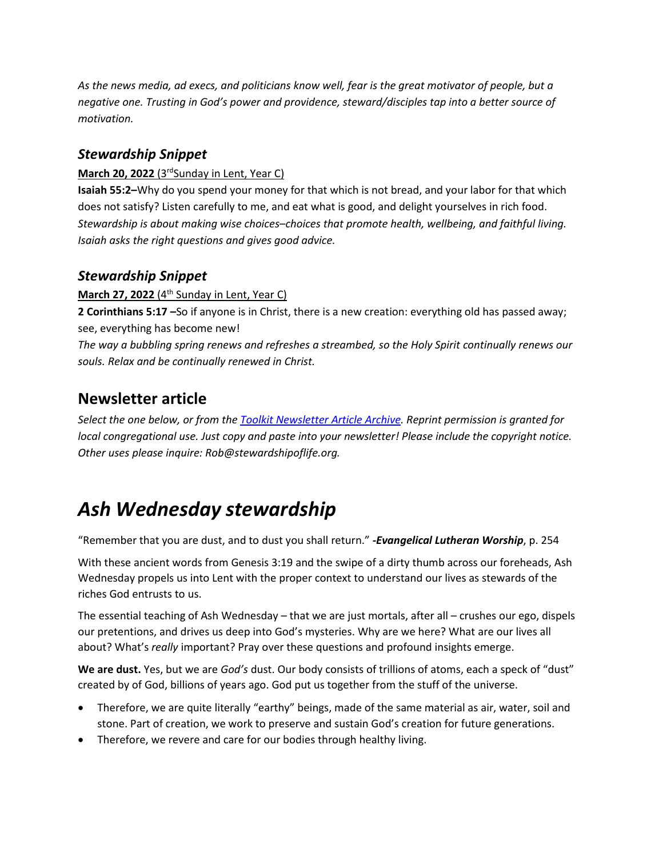*As the news media, ad execs, and politicians know well, fear is the great motivator of people, but a negative one. Trusting in God's power and providence, steward/disciples tap into a better source of motivation.* 

### *Stewardship Snippet*

#### **March 20, 2022** (3<sup>rd</sup>Sunday in Lent, Year C)

**Isaiah 55:2–**Why do you spend your money for that which is not bread, and your labor for that which does not satisfy? Listen carefully to me, and eat what is good, and delight yourselves in rich food. *Stewardship is about making wise choices*–*choices that promote health, wellbeing, and faithful living. Isaiah asks the right questions and gives good advice.*

### *Stewardship Snippet*

**March 27, 2022** (4<sup>th</sup> Sunday in Lent, Year C)

**2 Corinthians 5:17 –**So if anyone is in Christ, there is a new creation: everything old has passed away; see, everything has become new!

*The way a bubbling spring renews and refreshes a streambed, so the Holy Spirit continually renews our souls. Relax and be continually renewed in Christ.*

## <span id="page-1-0"></span>**Newsletter article**

*Select the one below, or from the Toolkit [Newsletter Article Archive.](https://www.lss-elca.org/toolkit-newsletter-archive/) Reprint permission is granted for local congregational use. Just copy and paste into your newsletter! Please include the copyright notice. Other uses please inquire: Rob@stewardshipoflife.org.*

# *Ash Wednesday stewardship*

"Remember that you are dust, and to dust you shall return." *-Evangelical Lutheran Worship*, p. 254

With these ancient words from Genesis 3:19 and the swipe of a dirty thumb across our foreheads, Ash Wednesday propels us into Lent with the proper context to understand our lives as stewards of the riches God entrusts to us.

The essential teaching of Ash Wednesday – that we are just mortals, after all – crushes our ego, dispels our pretentions, and drives us deep into God's mysteries. Why are we here? What are our lives all about? What's *really* important? Pray over these questions and profound insights emerge.

**We are dust.** Yes, but we are *God's* dust. Our body consists of trillions of atoms, each a speck of "dust" created by of God, billions of years ago. God put us together from the stuff of the universe.

- Therefore, we are quite literally "earthy" beings, made of the same material as air, water, soil and stone. Part of creation, we work to preserve and sustain God's creation for future generations.
- Therefore, we revere and care for our bodies through healthy living.